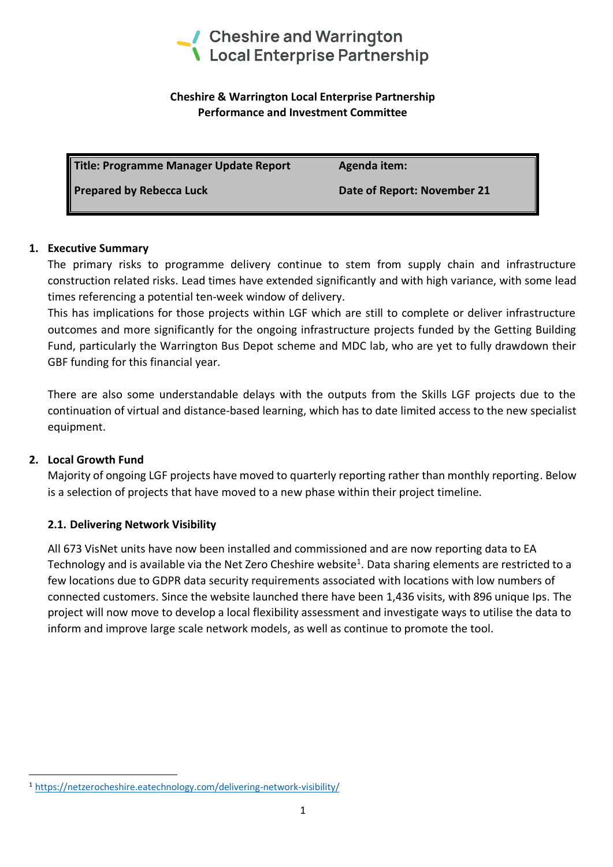

### **Cheshire & Warrington Local Enterprise Partnership Performance and Investment Committee**

Title: Programme Manager Update Report Agenda item:

**Prepared by Rebecca Luck Date of Report: November 21** 

# **1. Executive Summary**

The primary risks to programme delivery continue to stem from supply chain and infrastructure construction related risks. Lead times have extended significantly and with high variance, with some lead times referencing a potential ten-week window of delivery.

This has implications for those projects within LGF which are still to complete or deliver infrastructure outcomes and more significantly for the ongoing infrastructure projects funded by the Getting Building Fund, particularly the Warrington Bus Depot scheme and MDC lab, who are yet to fully drawdown their GBF funding for this financial year.

There are also some understandable delays with the outputs from the Skills LGF projects due to the continuation of virtual and distance-based learning, which has to date limited access to the new specialist equipment.

# **2. Local Growth Fund**

Majority of ongoing LGF projects have moved to quarterly reporting rather than monthly reporting. Below is a selection of projects that have moved to a new phase within their project timeline.

# **2.1. Delivering Network Visibility**

All 673 VisNet units have now been installed and commissioned and are now reporting data to EA Technology and is available via the Net Zero Cheshire website<sup>1</sup>. Data sharing elements are restricted to a few locations due to GDPR data security requirements associated with locations with low numbers of connected customers. Since the website launched there have been 1,436 visits, with 896 unique Ips. The project will now move to develop a local flexibility assessment and investigate ways to utilise the data to inform and improve large scale network models, as well as continue to promote the tool.

<sup>1</sup> <https://netzerocheshire.eatechnology.com/delivering-network-visibility/>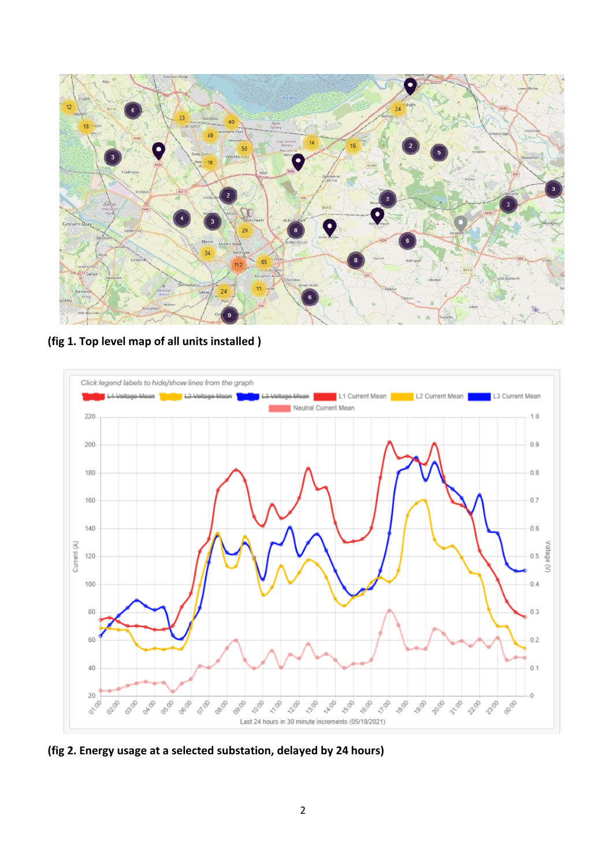

**(fig 1. Top level map of all units installed )**



**(fig 2. Energy usage at a selected substation, delayed by 24 hours)**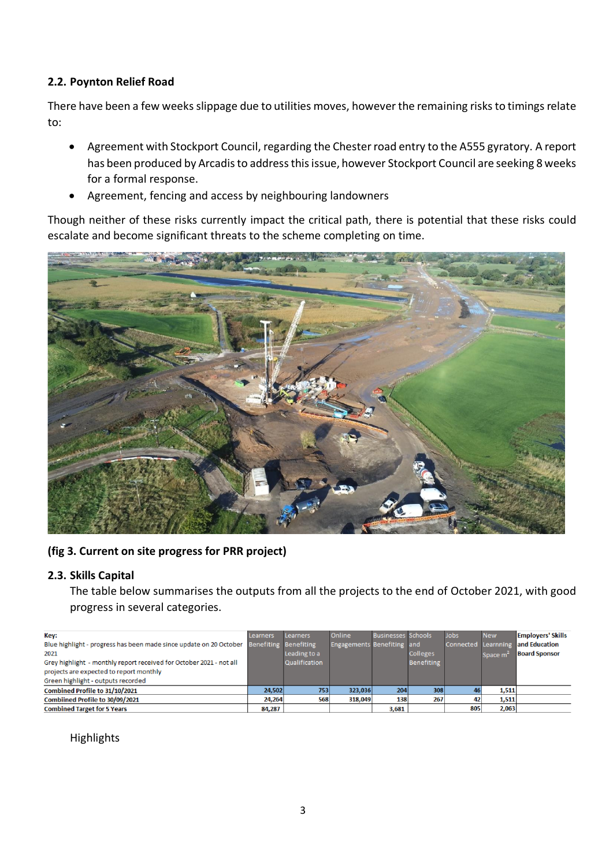### **2.2. Poynton Relief Road**

There have been a few weeks slippage due to utilities moves, however the remaining risks to timings relate to:

- Agreement with Stockport Council, regarding the Chester road entry to the A555 gyratory. A report has been produced by Arcadis to address this issue, however Stockport Council are seeking 8 weeks for a formal response.
- Agreement, fencing and access by neighbouring landowners

Though neither of these risks currently impact the critical path, there is potential that these risks could escalate and become significant threats to the scheme completing on time.



**(fig 3. Current on site progress for PRR project)**

# **2.3. Skills Capital**

The table below summarises the outputs from all the projects to the end of October 2021, with good progress in several categories.

| Kev:                                                                | Learners              | <b>Learners</b> | Online                            | <b>Businesses Schools</b> |                 | <b>Jobs</b> | <b>New</b>           | <b>Employers' Skills</b>          |
|---------------------------------------------------------------------|-----------------------|-----------------|-----------------------------------|---------------------------|-----------------|-------------|----------------------|-----------------------------------|
| Blue highlight - progress has been made since update on 20 October  | Benefiting Benefiting |                 | <b>Engagements Benefiting and</b> |                           |                 |             |                      | Connected Learnning and Education |
| 2021                                                                |                       | Leading to a    |                                   |                           | <b>Colleges</b> |             | Space m <sup>2</sup> | <b>Board Sponsor</b>              |
| Grey highlight - monthly report received for October 2021 - not all |                       | Qualification   |                                   |                           | Benefiting      |             |                      |                                   |
| projects are expected to report monthly                             |                       |                 |                                   |                           |                 |             |                      |                                   |
| Green highlight - outputs recorded                                  |                       |                 |                                   |                           |                 |             |                      |                                   |
| Combined Profile to 31/10/2021                                      | 24.502                | 753             | 323,036                           | 204                       | 308             |             | 1,511                |                                   |
| Combiined Profile to 30/09/2021                                     | 24,264                | 568             | 318,049                           | 138                       | 267             |             | 1,511                |                                   |
| <b>Combined Target for 5 Years</b>                                  | 84,287                |                 |                                   | 3,681                     |                 | 805         | 2,063                |                                   |

### Highlights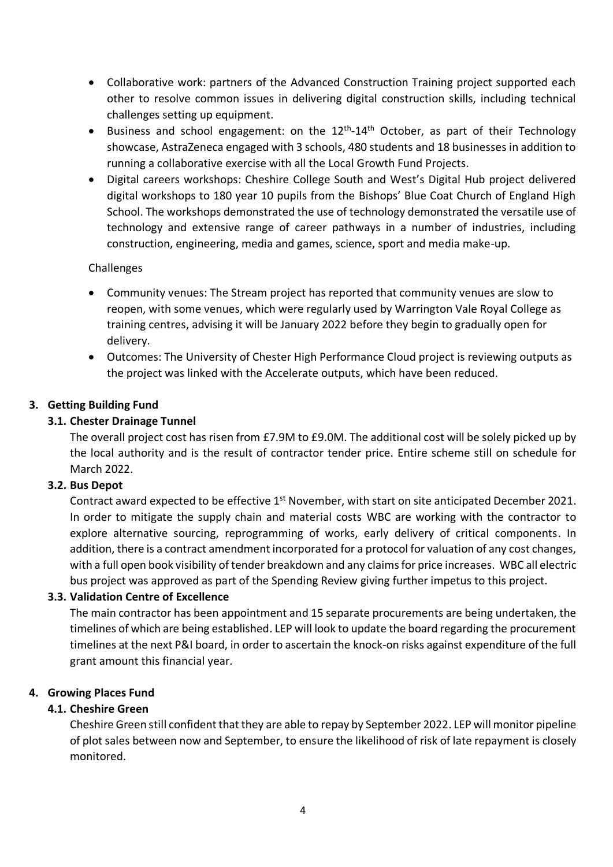- Collaborative work: partners of the Advanced Construction Training project supported each other to resolve common issues in delivering digital construction skills, including technical challenges setting up equipment.
- Business and school engagement: on the 12<sup>th</sup>-14<sup>th</sup> October, as part of their Technology showcase, AstraZeneca engaged with 3 schools, 480 students and 18 businesses in addition to running a collaborative exercise with all the Local Growth Fund Projects.
- Digital careers workshops: Cheshire College South and West's Digital Hub project delivered digital workshops to 180 year 10 pupils from the Bishops' Blue Coat Church of England High School. The workshops demonstrated the use of technology demonstrated the versatile use of technology and extensive range of career pathways in a number of industries, including construction, engineering, media and games, science, sport and media make-up.

### Challenges

- Community venues: The Stream project has reported that community venues are slow to reopen, with some venues, which were regularly used by Warrington Vale Royal College as training centres, advising it will be January 2022 before they begin to gradually open for delivery.
- Outcomes: The University of Chester High Performance Cloud project is reviewing outputs as the project was linked with the Accelerate outputs, which have been reduced.

### **3. Getting Building Fund**

#### **3.1. Chester Drainage Tunnel**

The overall project cost has risen from £7.9M to £9.0M. The additional cost will be solely picked up by the local authority and is the result of contractor tender price. Entire scheme still on schedule for March 2022.

#### **3.2. Bus Depot**

Contract award expected to be effective 1<sup>st</sup> November, with start on site anticipated December 2021. In order to mitigate the supply chain and material costs WBC are working with the contractor to explore alternative sourcing, reprogramming of works, early delivery of critical components. In addition, there is a contract amendment incorporated for a protocol for valuation of any cost changes, with a full open book visibility of tender breakdown and any claims for price increases. WBC all electric bus project was approved as part of the Spending Review giving further impetus to this project.

#### **3.3. Validation Centre of Excellence**

The main contractor has been appointment and 15 separate procurements are being undertaken, the timelines of which are being established. LEP will look to update the board regarding the procurement timelines at the next P&I board, in order to ascertain the knock-on risks against expenditure of the full grant amount this financial year.

#### **4. Growing Places Fund**

#### **4.1. Cheshire Green**

Cheshire Green still confident that they are able to repay by September 2022. LEP will monitor pipeline of plot sales between now and September, to ensure the likelihood of risk of late repayment is closely monitored.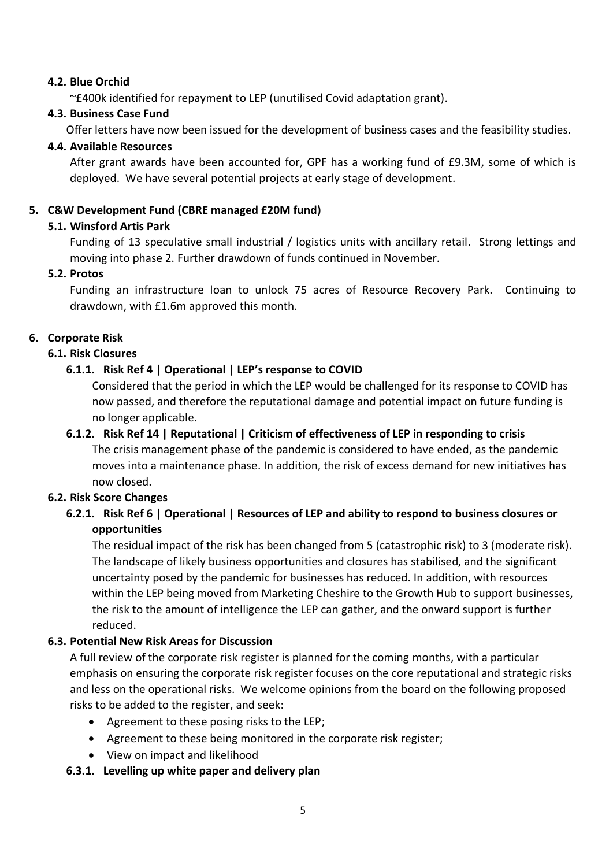### **4.2. Blue Orchid**

~£400k identified for repayment to LEP (unutilised Covid adaptation grant).

#### **4.3. Business Case Fund**

Offer letters have now been issued for the development of business cases and the feasibility studies.

#### **4.4. Available Resources**

After grant awards have been accounted for, GPF has a working fund of £9.3M, some of which is deployed. We have several potential projects at early stage of development.

#### **5. C&W Development Fund (CBRE managed £20M fund)**

#### **5.1. Winsford Artis Park**

Funding of 13 speculative small industrial / logistics units with ancillary retail. Strong lettings and moving into phase 2. Further drawdown of funds continued in November.

#### **5.2. Protos**

Funding an infrastructure loan to unlock 75 acres of Resource Recovery Park. Continuing to drawdown, with £1.6m approved this month.

### **6. Corporate Risk**

#### **6.1. Risk Closures**

### **6.1.1. Risk Ref 4 | Operational | LEP's response to COVID**

Considered that the period in which the LEP would be challenged for its response to COVID has now passed, and therefore the reputational damage and potential impact on future funding is no longer applicable.

### **6.1.2. Risk Ref 14 | Reputational | Criticism of effectiveness of LEP in responding to crisis**

The crisis management phase of the pandemic is considered to have ended, as the pandemic moves into a maintenance phase. In addition, the risk of excess demand for new initiatives has now closed.

### **6.2. Risk Score Changes**

# **6.2.1. Risk Ref 6 | Operational | Resources of LEP and ability to respond to business closures or opportunities**

The residual impact of the risk has been changed from 5 (catastrophic risk) to 3 (moderate risk). The landscape of likely business opportunities and closures has stabilised, and the significant uncertainty posed by the pandemic for businesses has reduced. In addition, with resources within the LEP being moved from Marketing Cheshire to the Growth Hub to support businesses, the risk to the amount of intelligence the LEP can gather, and the onward support is further reduced.

### **6.3. Potential New Risk Areas for Discussion**

A full review of the corporate risk register is planned for the coming months, with a particular emphasis on ensuring the corporate risk register focuses on the core reputational and strategic risks and less on the operational risks. We welcome opinions from the board on the following proposed risks to be added to the register, and seek:

- Agreement to these posing risks to the LEP;
- Agreement to these being monitored in the corporate risk register;
- View on impact and likelihood

### **6.3.1. Levelling up white paper and delivery plan**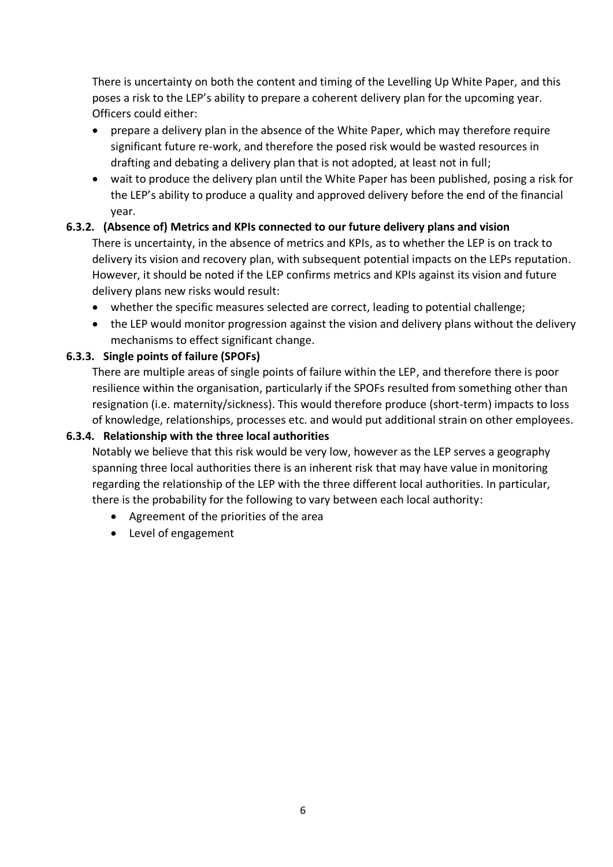There is uncertainty on both the content and timing of the Levelling Up White Paper, and this poses a risk to the LEP's ability to prepare a coherent delivery plan for the upcoming year. Officers could either:

- prepare a delivery plan in the absence of the White Paper, which may therefore require significant future re-work, and therefore the posed risk would be wasted resources in drafting and debating a delivery plan that is not adopted, at least not in full;
- wait to produce the delivery plan until the White Paper has been published, posing a risk for the LEP's ability to produce a quality and approved delivery before the end of the financial year.

# **6.3.2. (Absence of) Metrics and KPIs connected to our future delivery plans and vision**

There is uncertainty, in the absence of metrics and KPIs, as to whether the LEP is on track to delivery its vision and recovery plan, with subsequent potential impacts on the LEPs reputation. However, it should be noted if the LEP confirms metrics and KPIs against its vision and future delivery plans new risks would result:

- whether the specific measures selected are correct, leading to potential challenge;
- the LEP would monitor progression against the vision and delivery plans without the delivery mechanisms to effect significant change.

### **6.3.3. Single points of failure (SPOFs)**

There are multiple areas of single points of failure within the LEP, and therefore there is poor resilience within the organisation, particularly if the SPOFs resulted from something other than resignation (i.e. maternity/sickness). This would therefore produce (short-term) impacts to loss of knowledge, relationships, processes etc. and would put additional strain on other employees.

### **6.3.4. Relationship with the three local authorities**

Notably we believe that this risk would be very low, however as the LEP serves a geography spanning three local authorities there is an inherent risk that may have value in monitoring regarding the relationship of the LEP with the three different local authorities. In particular, there is the probability for the following to vary between each local authority:

- Agreement of the priorities of the area
- Level of engagement